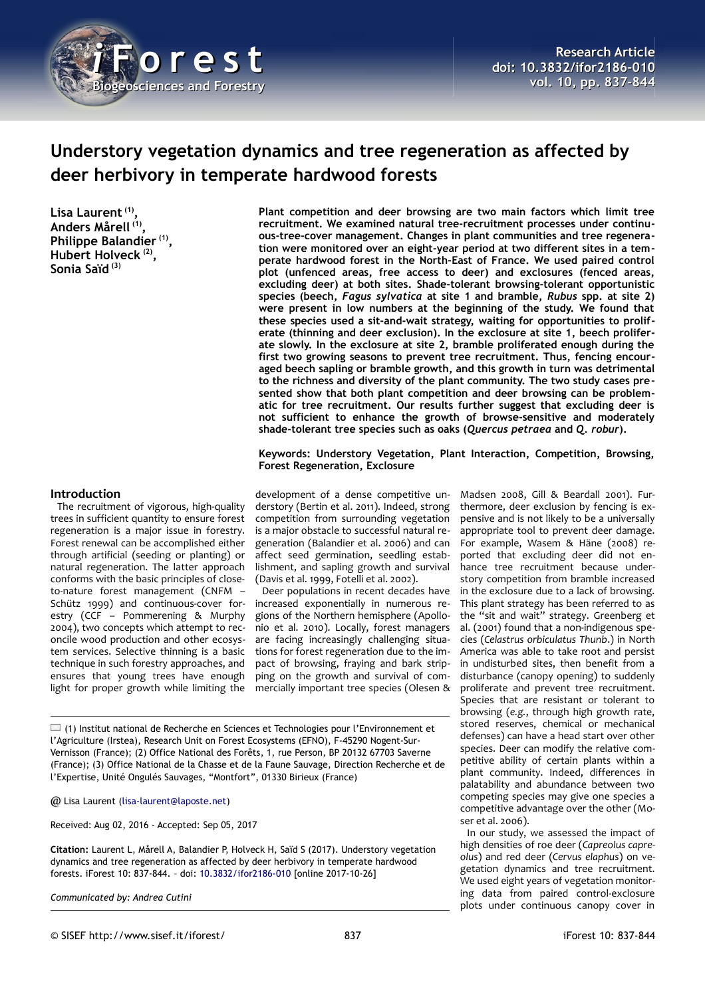

# **Understory vegetation dynamics and tree regeneration as affected by deer herbivory in temperate hardwood forests**

**Lisa Laurent (1) , Anders Mårell (1) , Philippe Balandier (1) , Hubert Holveck (2) , Sonia Saïd (3)**

**Plant competition and deer browsing are two main factors which limit tree recruitment. We examined natural tree-recruitment processes under continuous-tree-cover management. Changes in plant communities and tree regeneration were monitored over an eight-year period at two different sites in a temperate hardwood forest in the North-East of France. We used paired control plot (unfenced areas, free access to deer) and exclosures (fenced areas, excluding deer) at both sites. Shade-tolerant browsing-tolerant opportunistic species (beech,** *Fagus sylvatica* **at site 1 and bramble,** *Rubus* **spp. at site 2) were present in low numbers at the beginning of the study. We found that these species used a sit-and-wait strategy, waiting for opportunities to proliferate (thinning and deer exclusion). In the exclosure at site 1, beech proliferate slowly. In the exclosure at site 2, bramble proliferated enough during the first two growing seasons to prevent tree recruitment. Thus, fencing encouraged beech sapling or bramble growth, and this growth in turn was detrimental to the richness and diversity of the plant community. The two study cases presented show that both plant competition and deer browsing can be problematic for tree recruitment. Our results further suggest that excluding deer is not sufficient to enhance the growth of browse-sensitive and moderately shade-tolerant tree species such as oaks (***Quercus petraea* **and** *Q. robur***).**

**Keywords: Understory Vegetation, Plant Interaction, Competition, Browsing, Forest Regeneration, Exclosure**

#### **Introduction**

The recruitment of vigorous, high-quality trees in sufficient quantity to ensure forest regeneration is a major issue in forestry. Forest renewal can be accomplished either through artificial (seeding or planting) or natural regeneration. The latter approach conforms with the basic principles of closeto-nature forest management (CNFM – Schütz 1999) and continuous-cover forestry (CCF – Pommerening & Murphy 2004), two concepts which attempt to reconcile wood production and other ecosystem services. Selective thinning is a basic technique in such forestry approaches, and ensures that young trees have enough light for proper growth while limiting the

development of a dense competitive understory (Bertin et al. 2011). Indeed, strong competition from surrounding vegetation is a major obstacle to successful natural regeneration (Balandier et al. 2006) and can affect seed germination, seedling establishment, and sapling growth and survival (Davis et al. 1999, Fotelli et al. 2002).

Deer populations in recent decades have increased exponentially in numerous regions of the Northern hemisphere (Apollonio et al. 2010). Locally, forest managers are facing increasingly challenging situations for forest regeneration due to the impact of browsing, fraying and bark stripping on the growth and survival of commercially important tree species (Olesen &

(1) Institut national de Recherche en Sciences et Technologies pour l'Environnement et l'Agriculture (Irstea), Research Unit on Forest Ecosystems (EFNO), F-45290 Nogent-Sur-Vernisson (France); (2) Office National des Forêts, 1, rue Person, BP 20132 67703 Saverne (France); (3) Office National de la Chasse et de la Faune Sauvage, Direction Recherche et de l'Expertise, Unité Ongulés Sauvages, "Montfort", 01330 Birieux (France)

@ Lisa Laurent [\(lisa-laurent@laposte.net\)](mailto:lisa-laurent@laposte.net)

Received: Aug 02, 2016 - Accepted: Sep 05, 2017

**Citation:** Laurent L, Mårell A, Balandier P, Holveck H, Saïd S (2017). Understory vegetation dynamics and tree regeneration as affected by deer herbivory in temperate hardwood forests. iForest 10: 837-844. – doi: [10.3832/ifor2186-010](http://www.sisef.it/iforest/contents/?id=ifor2186-010) [online 2017-10-26]

*Communicated by: Andrea Cutini*

thermore, deer exclusion by fencing is expensive and is not likely to be a universally appropriate tool to prevent deer damage. For example, Wasem & Häne (2008) reported that excluding deer did not enhance tree recruitment because understory competition from bramble increased in the exclosure due to a lack of browsing. This plant strategy has been referred to as the "sit and wait" strategy. Greenberg et al. (2001) found that a non-indigenous species (*Celastrus orbiculatus Thunb*.) in North America was able to take root and persist in undisturbed sites, then benefit from a disturbance (canopy opening) to suddenly proliferate and prevent tree recruitment. Species that are resistant or tolerant to browsing (*e.g.*, through high growth rate, stored reserves, chemical or mechanical defenses) can have a head start over other species. Deer can modify the relative competitive ability of certain plants within a plant community. Indeed, differences in palatability and abundance between two competing species may give one species a competitive advantage over the other (Mo-

Madsen 2008, Gill & Beardall 2001). Fur-

ser et al. 2006). In our study, we assessed the impact of high densities of roe deer (*Capreolus capreolus*) and red deer (*Cervus elaphus*) on vegetation dynamics and tree recruitment. We used eight years of vegetation monitoring data from paired control-exclosure plots under continuous canopy cover in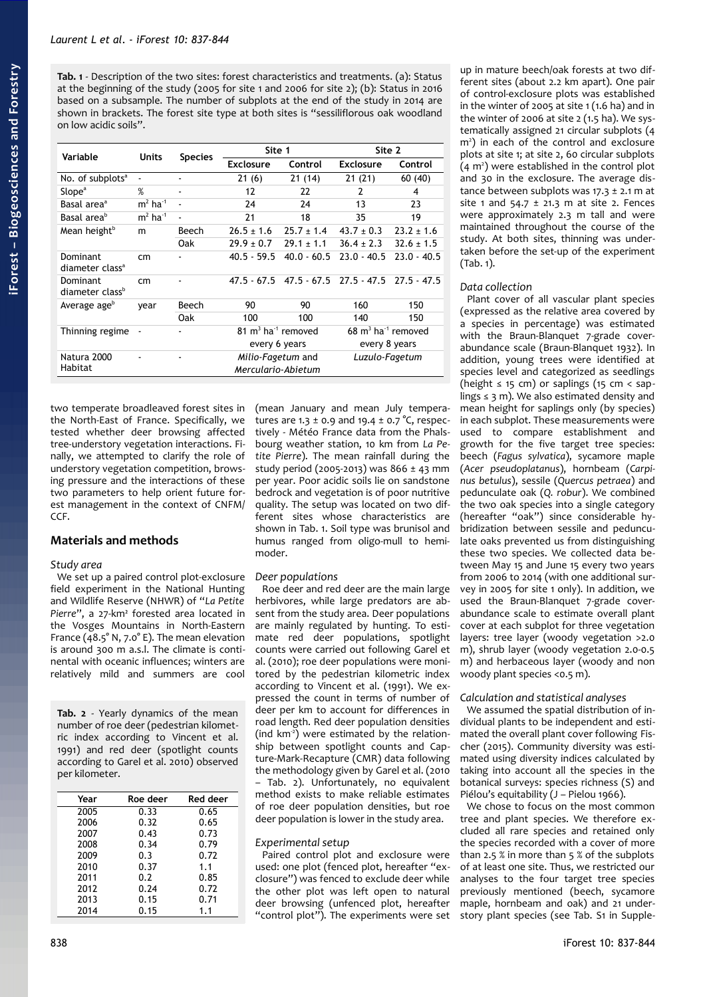<span id="page-1-0"></span>**Tab. 1** - Description of the two sites: forest characteristics and treatments. (a): Status at the beginning of the study (2005 for site 1 and 2006 for site 2); (b): Status in 2016 based on a subsample. The number of subplots at the end of the study in 2014 are shown in brackets. The forest site type at both sites is "sessiliflorous oak woodland on low acidic soils".

| Variable                                | Units                    | <b>Species</b>           | Site 1                                    |                                                       | Site 2                                    |                |
|-----------------------------------------|--------------------------|--------------------------|-------------------------------------------|-------------------------------------------------------|-------------------------------------------|----------------|
|                                         |                          |                          | <b>Exclosure</b>                          | Control                                               | <b>Exclosure</b>                          | Control        |
| No. of subplots <sup>a</sup>            |                          |                          | 21(6)                                     | 21(14)                                                | 21(21)                                    | 60(40)         |
| Slope <sup>a</sup>                      | %                        | ۰                        | 12                                        | 22                                                    | 2                                         | 4              |
| Basal area <sup>a</sup>                 | $m2$ ha <sup>-1</sup>    | $\overline{\phantom{a}}$ | 24                                        | 24                                                    | 13                                        | 23             |
| Basal area <sup>b</sup>                 | $m2$ ha <sup>-1</sup>    | ä,                       | 21                                        | 18                                                    | 35                                        | 19             |
| Mean height <sup>b</sup>                | m                        | Beech                    | $26.5 \pm 1.6$                            | $25.7 \pm 1.4$                                        | $43.7 \pm 0.3$                            | $23.2 \pm 1.6$ |
|                                         |                          | Oak                      | $29.9 \pm 0.7$                            | $29.1 \pm 1.1$                                        | $36.4 \pm 2.3$                            | $32.6 \pm 1.5$ |
| Dominant<br>diameter class <sup>a</sup> | cm                       |                          | $40.5 - 59.5$                             | $40.0 - 60.5$                                         | $23.0 - 40.5$                             | $23.0 - 40.5$  |
| Dominant<br>diameter class <sup>b</sup> | cm                       |                          |                                           | 47.5 - 67.5 - 47.5 - 67.5 - 27.5 - 47.5 - 27.5 - 47.5 |                                           |                |
| Average age <sup>b</sup>                | year                     | Beech                    | 90                                        | 90                                                    | 160                                       | 150            |
|                                         |                          | Oak                      | 100                                       | 100                                                   | 140                                       | 150            |
| Thinning regime                         | $\overline{\phantom{a}}$ |                          | $81 \text{ m}^3$ ha <sup>-1</sup> removed |                                                       | $68 \text{ m}^3$ ha <sup>-1</sup> removed |                |
|                                         |                          | every 6 years            |                                           |                                                       | every 8 years                             |                |
| Natura 2000<br>Habitat                  |                          |                          | Milio-Fagetum and<br>Merculario-Abietum   |                                                       | Luzulo-Fagetum                            |                |

two temperate broadleaved forest sites in the North-East of France. Specifically, we tested whether deer browsing affected tree-understory vegetation interactions. Finally, we attempted to clarify the role of understory vegetation competition, browsing pressure and the interactions of these two parameters to help orient future forest management in the context of CNFM/  $CCF$ 

# **Materials and methods**

## *Study area*

We set up a paired control plot-exclosure field experiment in the National Hunting and Wildlife Reserve (NHWR) of "*La Petite Pierre*", a 27-km² forested area located in the Vosges Mountains in North-Eastern France (48.5° N, 7.0° E). The mean elevation is around 300 m a.s.l. The climate is continental with oceanic influences; winters are relatively mild and summers are cool

<span id="page-1-1"></span>**Tab. 2** - Yearly dynamics of the mean number of roe deer (pedestrian kilometric index according to Vincent et al. 1991) and red deer (spotlight counts according to Garel et al. 2010) observed per kilometer.

| Year | Roe deer | Red deer |
|------|----------|----------|
| 2005 | 0.33     | 0.65     |
| 2006 | 0.32     | 0.65     |
| 2007 | 0.43     | 0.73     |
| 2008 | 0.34     | 0.79     |
| 2009 | 0.3      | 0.72     |
| 2010 | 0.37     | 1.1      |
| 2011 | 0.2      | 0.85     |
| 2012 | 0.24     | 0.72     |
| 2013 | 0.15     | 0.71     |
| 2014 | 0.15     | 1.1      |

(mean January and mean July temperatures are 1.3 ± 0.9 and 19.4 ± 0.7 °C, respectively - Météo France data from the Phalsbourg weather station, 10 km from *La Petite Pierre*). The mean rainfall during the study period (2005-2013) was  $866 \pm 43$  mm per year. Poor acidic soils lie on sandstone bedrock and vegetation is of poor nutritive quality. The setup was located on two different sites whose characteristics are shown in [Tab. 1.](#page-1-0) Soil type was brunisol and humus ranged from oligo-mull to hemimoder.

#### *Deer populations*

Roe deer and red deer are the main large herbivores, while large predators are absent from the study area. Deer populations are mainly regulated by hunting. To estimate red deer populations, spotlight counts were carried out following Garel et al. (2010); roe deer populations were monitored by the pedestrian kilometric index according to Vincent et al. (1991). We expressed the count in terms of number of deer per km to account for differences in road length. Red deer population densities (ind  $km^2$ ) were estimated by the relationship between spotlight counts and Capture-Mark-Recapture (CMR) data following the methodology given by Garel et al. (2010 – [Tab. 2\)](#page-1-1). Unfortunately, no equivalent method exists to make reliable estimates of roe deer population densities, but roe deer population is lower in the study area.

#### *Experimental setup*

Paired control plot and exclosure were used: one plot (fenced plot, hereafter "exclosure") was fenced to exclude deer while the other plot was left open to natural deer browsing (unfenced plot, hereafter "control plot"). The experiments were set

up in mature beech/oak forests at two different sites (about 2.2 km apart). One pair of control-exclosure plots was established in the winter of 2005 at site 1 (1.6 ha) and in the winter of 2006 at site  $2$  (1.5 ha). We systematically assigned 21 circular subplots (4 m<sup>2</sup> ) in each of the control and exclosure plots at site 1; at site 2, 60 circular subplots  $(4 \text{ m}^2)$  were established in the control plot and 30 in the exclosure. The average distance between subplots was  $17.3 \pm 2.1$  m at site 1 and 54.7  $\pm$  21.3 m at site 2. Fences were approximately 2.3 m tall and were maintained throughout the course of the study. At both sites, thinning was undertaken before the set-up of the experiment [\(Tab. 1\)](#page-1-0).

#### *Data collection*

Plant cover of all vascular plant species (expressed as the relative area covered by a species in percentage) was estimated with the Braun-Blanquet 7-grade coverabundance scale (Braun-Blanquet 1932). In addition, young trees were identified at species level and categorized as seedlings (height  $\leq$  15 cm) or saplings (15 cm < saplings ≤ 3 m). We also estimated density and mean height for saplings only (by species) in each subplot. These measurements were used to compare establishment and growth for the five target tree species: beech (*Fagus sylvatica*), sycamore maple (*Acer pseudoplatanus*), hornbeam (*Carpinus betulus*), sessile (*Quercus petraea*) and pedunculate oak (*Q. robur*). We combined the two oak species into a single category (hereafter "oak") since considerable hybridization between sessile and pedunculate oaks prevented us from distinguishing these two species. We collected data between May 15 and June 15 every two years from 2006 to 2014 (with one additional survey in 2005 for site 1 only). In addition, we used the Braun-Blanquet 7-grade coverabundance scale to estimate overall plant cover at each subplot for three vegetation layers: tree layer (woody vegetation >2.0 m), shrub layer (woody vegetation 2.0-0.5 m) and herbaceous layer (woody and non woody plant species <0.5 m).

## *Calculation and statistical analyses*

We assumed the spatial distribution of individual plants to be independent and estimated the overall plant cover following Fischer (2015). Community diversity was estimated using diversity indices calculated by taking into account all the species in the botanical surveys: species richness (S) and Piélou's equitability (J – Pielou 1966).

We chose to focus on the most common tree and plant species. We therefore excluded all rare species and retained only the species recorded with a cover of more than 2.5 % in more than 5 % of the subplots of at least one site. Thus, we restricted our analyses to the four target tree species previously mentioned (beech, sycamore maple, hornbeam and oak) and 21 understory plant species (see Tab. S1 in Supple-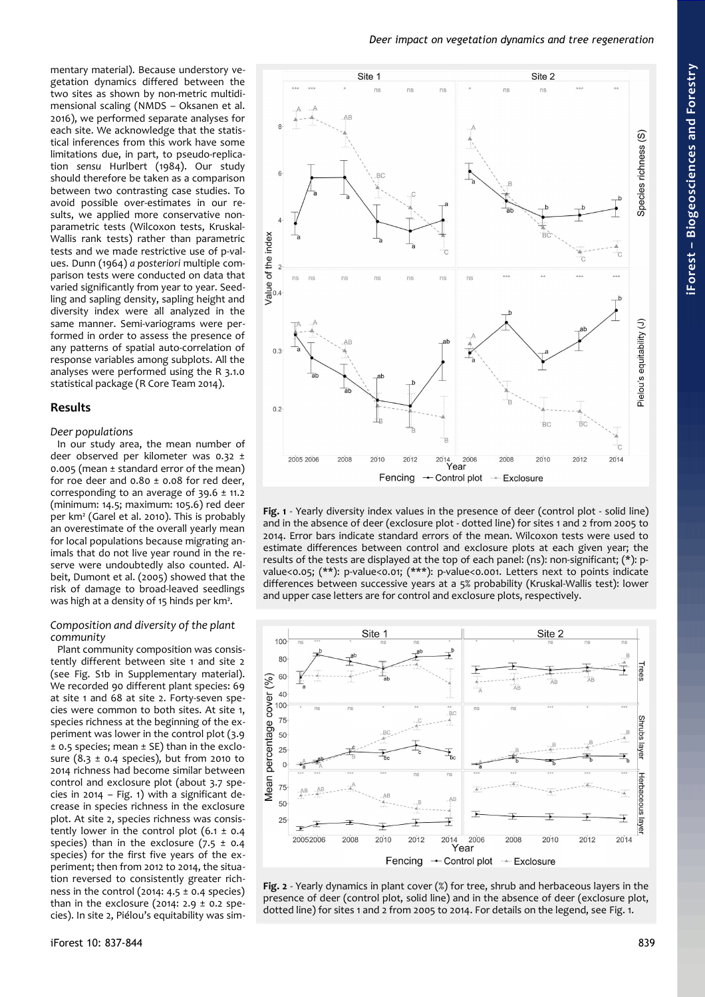*Deer impact on vegetation dynamics and tree regeneration*



<span id="page-2-0"></span>**Fig. 1** - Yearly diversity index values in the presence of deer (control plot - solid line) and in the absence of deer (exclosure plot - dotted line) for sites 1 and 2 from 2005 to 2014. Error bars indicate standard errors of the mean. Wilcoxon tests were used to estimate differences between control and exclosure plots at each given year; the results of the tests are displayed at the top of each panel: (ns): non-significant; (\*): pvalue<0.05; (\*\*): p-value<0.01; (\*\*\*): p-value<0.001. Letters next to points indicate differences between successive years at a 5% probability (Kruskal-Wallis test): lower and upper case letters are for control and exclosure plots, respectively.



<span id="page-2-1"></span>**Fig. 2** - Yearly dynamics in plant cover (%) for tree, shrub and herbaceous layers in the presence of deer (control plot, solid line) and in the absence of deer (exclosure plot, dotted line) for sites 1 and 2 from 2005 to 2014. For details on the legend, see [Fig. 1.](#page-2-0)

getation dynamics differed between the two sites as shown by non-metric multidimensional scaling (NMDS – Oksanen et al. 2016), we performed separate analyses for each site. We acknowledge that the statistical inferences from this work have some limitations due, in part, to pseudo-replication *sensu* Hurlbert (1984). Our study should therefore be taken as a comparison between two contrasting case studies. To avoid possible over-estimates in our results, we applied more conservative nonparametric tests (Wilcoxon tests, Kruskal-Wallis rank tests) rather than parametric tests and we made restrictive use of p-values. Dunn (1964) *a posteriori* multiple comparison tests were conducted on data that varied significantly from year to year. Seedling and sapling density, sapling height and diversity index were all analyzed in the same manner. Semi-variograms were performed in order to assess the presence of any patterns of spatial auto-correlation of response variables among subplots. All the analyses were performed using the R 3.1.0 statistical package (R Core Team 2014).

mentary material). Because understory ve-

## **Results**

#### *Deer populations*

In our study area, the mean number of deer observed per kilometer was 0.32 ± 0.005 (mean ± standard error of the mean) for roe deer and  $0.80 \pm 0.08$  for red deer, corresponding to an average of  $39.6 \pm 11.2$ (minimum: 14.5; maximum: 105.6) red deer per km² (Garel et al. 2010). This is probably an overestimate of the overall yearly mean for local populations because migrating animals that do not live year round in the reserve were undoubtedly also counted. Albeit, Dumont et al. (2005) showed that the risk of damage to broad-leaved seedlings was high at a density of 15 hinds per km².

#### *Composition and diversity of the plant community*

Plant community composition was consistently different between site 1 and site 2 (see Fig. S1b in Supplementary material). We recorded 90 different plant species: 69 at site 1 and 68 at site 2. Forty-seven species were common to both sites. At site 1, species richness at the beginning of the experiment was lower in the control plot (3.9 ± 0.5 species; mean ± SE) than in the exclosure (8.3  $\pm$  0.4 species), but from 2010 to 2014 richness had become similar between control and exclosure plot (about 3.7 species in 2014 – [Fig. 1\)](#page-2-0) with a significant decrease in species richness in the exclosure plot. At site 2, species richness was consistently lower in the control plot  $(6.1 \pm 0.4)$ species) than in the exclosure  $(7.5 \pm 0.4)$ species) for the first five years of the experiment; then from 2012 to 2014, the situation reversed to consistently greater richness in the control (2014:  $4.5 \pm 0.4$  species) than in the exclosure (2014: 2.9  $\pm$  0.2 species). In site 2, Piélou's equitability was sim-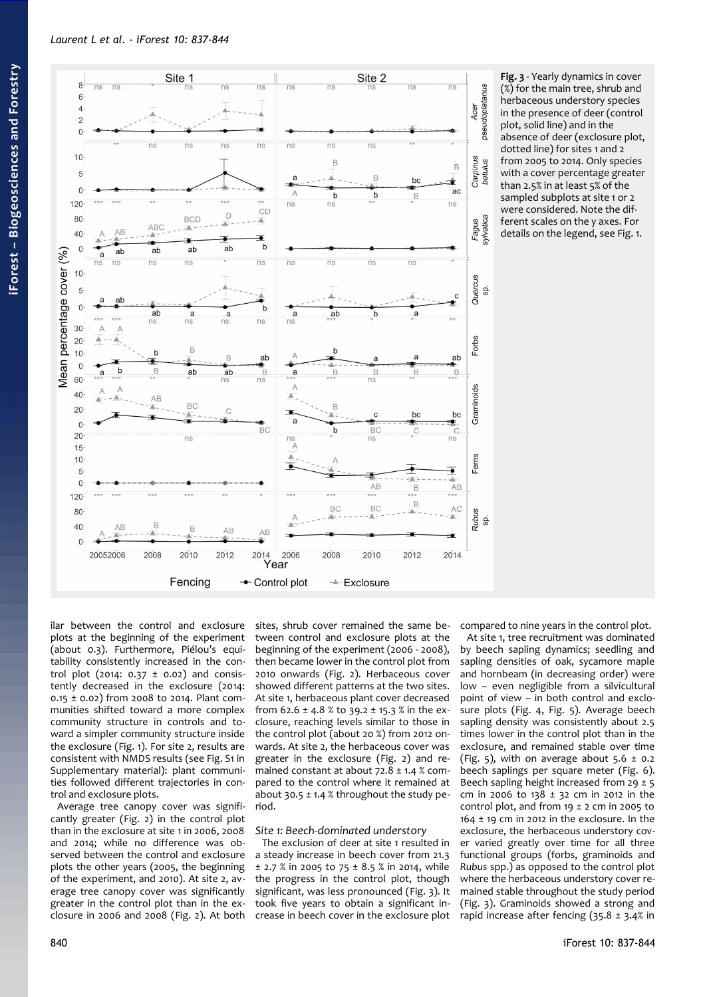

<span id="page-3-0"></span>**Fig. 3** - Yearly dynamics in cover (%) for the main tree, shrub and herbaceous understory species in the presence of deer (control plot, solid line) and in the absence of deer (exclosure plot, dotted line) for sites 1 and 2 from 2005 to 2014. Only species with a cover percentage greater than 2.5% in at least 5% of the sampled subplots at site 1 or 2 were considered. Note the different scales on the y axes. For details on the legend, see [Fig. 1.](#page-2-0)

ilar between the control and exclosure plots at the beginning of the experiment (about 0.3). Furthermore, Piélou's equitability consistently increased in the control plot (2014:  $0.37 \pm 0.02$ ) and consistently decreased in the exclosure (2014: 0.15 ± 0.02) from 2008 to 2014. Plant communities shifted toward a more complex community structure in controls and toward a simpler community structure inside the exclosure [\(Fig. 1\)](#page-2-0). For site 2, results are consistent with NMDS results (see Fig. S1 in Supplementary material): plant communities followed different trajectories in control and exclosure plots.

Average tree canopy cover was significantly greater [\(Fig. 2\)](#page-2-1) in the control plot than in the exclosure at site 1 in 2006, 2008 and 2014; while no difference was observed between the control and exclosure plots the other years (2005, the beginning of the experiment, and 2010). At site 2, average tree canopy cover was significantly greater in the control plot than in the exclosure in 2006 and 2008 [\(Fig. 2\)](#page-2-1). At both sites, shrub cover remained the same between control and exclosure plots at the beginning of the experiment (2006 - 2008), then became lower in the control plot from 2010 onwards [\(Fig. 2\)](#page-2-1). Herbaceous cover showed different patterns at the two sites. At site 1, herbaceous plant cover decreased from  $62.6 \pm 4.8$  % to  $39.2 \pm 15.3$  % in the exclosure, reaching levels similar to those in the control plot (about 20 %) from 2012 onwards. At site 2, the herbaceous cover was greater in the exclosure [\(Fig. 2\)](#page-2-1) and remained constant at about  $72.8 \pm 1.4$  % compared to the control where it remained at about 30.5  $\pm$  1.4 % throughout the study period.

## *Site 1: Beech-dominated understory*

The exclusion of deer at site 1 resulted in a steady increase in beech cover from 21.3  $\pm$  2.7 % in 2005 to 75  $\pm$  8.5 % in 2014, while the progress in the control plot, though significant, was less pronounced [\(Fig. 3\)](#page-3-0). It took five years to obtain a significant increase in beech cover in the exclosure plot compared to nine years in the control plot.

At site 1, tree recruitment was dominated by beech sapling dynamics; seedling and sapling densities of oak, sycamore maple and hornbeam (in decreasing order) were low – even negligible from a silvicultural point of view – in both control and exclosure plots [\(Fig. 4,](#page-4-1) [Fig. 5\)](#page-4-0). Average beech sapling density was consistently about 2.5 times lower in the control plot than in the exclosure, and remained stable over time [\(Fig. 5\)](#page-4-0), with on average about  $5.6 \pm 0.2$ beech saplings per square meter [\(Fig. 6\)](#page-5-0). Beech sapling height increased from  $29 \pm 5$ cm in 2006 to  $138 \pm 32$  cm in 2012 in the control plot, and from  $19 \pm 2$  cm in 2005 to  $164 \pm 19$  cm in 2012 in the exclosure. In the exclosure, the herbaceous understory cover varied greatly over time for all three functional groups (forbs, graminoids and *Rubus* spp.) as opposed to the control plot where the herbaceous understory cover remained stable throughout the study period [\(Fig. 3\)](#page-3-0). Graminoids showed a strong and rapid increase after fencing (35.8 ± 3.4% in

**iForest –**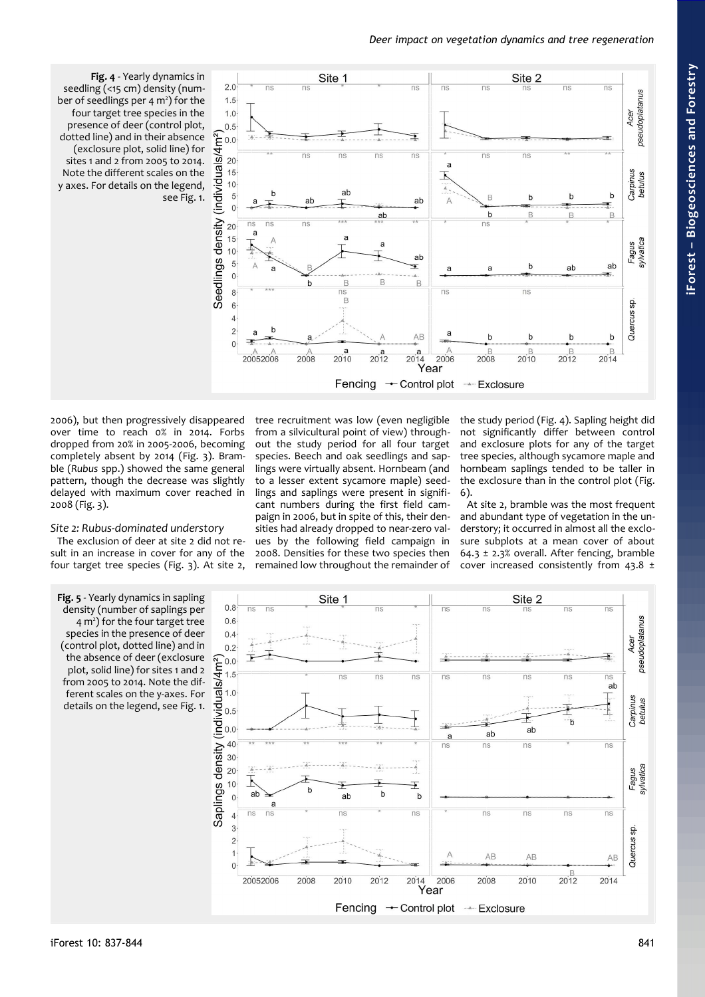<span id="page-4-1"></span>

2006), but then progressively disappeared over time to reach 0% in 2014. Forbs dropped from 20% in 2005-2006, becoming completely absent by 2014 [\(Fig. 3\)](#page-3-0). Bramble (*Rubus* spp.) showed the same general pattern, though the decrease was slightly delayed with maximum cover reached in 2008 [\(Fig. 3\)](#page-3-0).

#### *Site 2: Rubus-dominated understory*

The exclusion of deer at site 2 did not result in an increase in cover for any of the four target tree species [\(Fig. 3\)](#page-3-0). At site 2, tree recruitment was low (even negligible from a silvicultural point of view) throughout the study period for all four target species. Beech and oak seedlings and saplings were virtually absent. Hornbeam (and to a lesser extent sycamore maple) seedlings and saplings were present in significant numbers during the first field campaign in 2006, but in spite of this, their densities had already dropped to near-zero values by the following field campaign in 2008. Densities for these two species then remained low throughout the remainder of

the study period [\(Fig. 4\)](#page-4-1). Sapling height did not significantly differ between control and exclosure plots for any of the target tree species, although sycamore maple and hornbeam saplings tended to be taller in the exclosure than in the control plot [\(Fig.](#page-5-0) [6\)](#page-5-0).

At site 2, bramble was the most frequent and abundant type of vegetation in the understory; it occurred in almost all the exclosure subplots at a mean cover of about 64.3  $\pm$  2.3% overall. After fencing, bramble cover increased consistently from 43.8 ±

<span id="page-4-0"></span>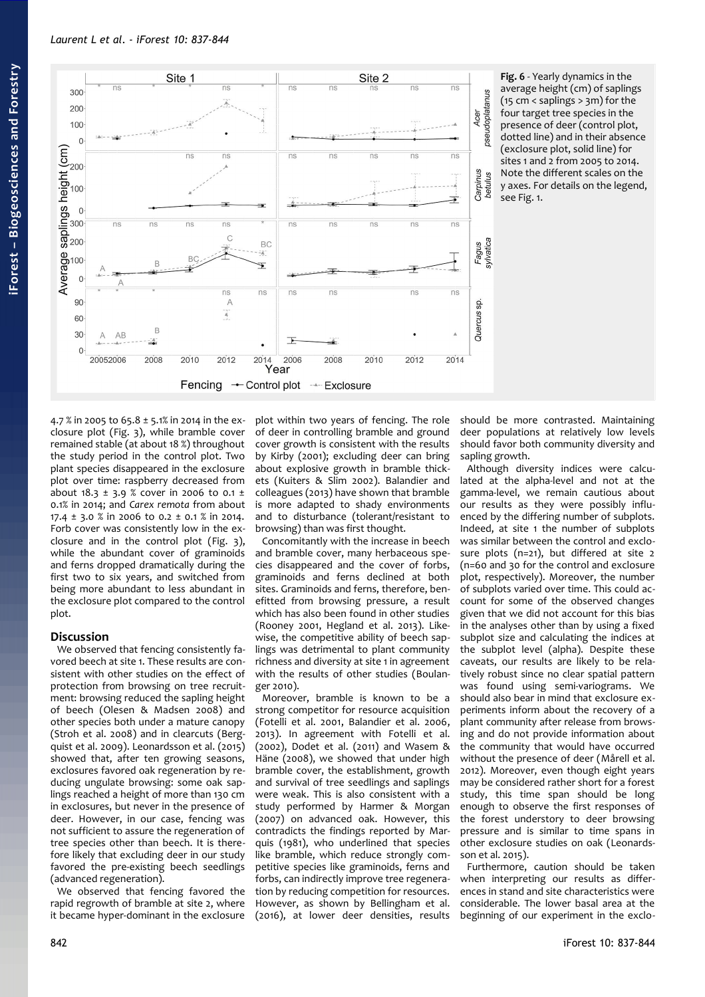

4.7 % in 2005 to 65.8 ± 5.1% in 2014 in the exclosure plot [\(Fig. 3\)](#page-3-0), while bramble cover remained stable (at about 18 %) throughout the study period in the control plot. Two plant species disappeared in the exclosure plot over time: raspberry decreased from about 18.3  $\pm$  3.9 % cover in 2006 to 0.1  $\pm$ 0.1% in 2014; and *Carex remota* from about 17.4 ± 3.0 % in 2006 to 0.2 ± 0.1 % in 2014. Forb cover was consistently low in the exclosure and in the control plot [\(Fig. 3\)](#page-3-0), while the abundant cover of graminoids and ferns dropped dramatically during the first two to six years, and switched from being more abundant to less abundant in the exclosure plot compared to the control plot.

## **Discussion**

We observed that fencing consistently favored beech at site 1. These results are consistent with other studies on the effect of protection from browsing on tree recruitment: browsing reduced the sapling height of beech (Olesen & Madsen 2008) and other species both under a mature canopy (Stroh et al. 2008) and in clearcuts (Bergquist et al. 2009). Leonardsson et al. (2015) showed that, after ten growing seasons, exclosures favored oak regeneration by reducing ungulate browsing: some oak saplings reached a height of more than 130 cm in exclosures, but never in the presence of deer. However, in our case, fencing was not sufficient to assure the regeneration of tree species other than beech. It is therefore likely that excluding deer in our study favored the pre-existing beech seedlings (advanced regeneration).

We observed that fencing favored the rapid regrowth of bramble at site 2, where it became hyper-dominant in the exclosure plot within two years of fencing. The role of deer in controlling bramble and ground cover growth is consistent with the results by Kirby (2001); excluding deer can bring about explosive growth in bramble thickets (Kuiters & Slim 2002). Balandier and colleagues (2013) have shown that bramble is more adapted to shady environments and to disturbance (tolerant/resistant to browsing) than was first thought.

Concomitantly with the increase in beech and bramble cover, many herbaceous species disappeared and the cover of forbs, graminoids and ferns declined at both sites. Graminoids and ferns, therefore, benefitted from browsing pressure, a result which has also been found in other studies (Rooney 2001, Hegland et al. 2013). Likewise, the competitive ability of beech saplings was detrimental to plant community richness and diversity at site 1 in agreement with the results of other studies (Boulanger 2010).

Moreover, bramble is known to be a strong competitor for resource acquisition (Fotelli et al. 2001, Balandier et al. 2006, 2013). In agreement with Fotelli et al. (2002), Dodet et al. (2011) and Wasem & Häne (2008), we showed that under high bramble cover, the establishment, growth and survival of tree seedlings and saplings were weak. This is also consistent with a study performed by Harmer & Morgan (2007) on advanced oak. However, this contradicts the findings reported by Marquis (1981), who underlined that species like bramble, which reduce strongly competitive species like graminoids, ferns and forbs, can indirectly improve tree regeneration by reducing competition for resources. However, as shown by Bellingham et al. (2016), at lower deer densities, results

<span id="page-5-0"></span>should be more contrasted. Maintaining deer populations at relatively low levels should favor both community diversity and sapling growth.

Although diversity indices were calculated at the alpha-level and not at the gamma-level, we remain cautious about our results as they were possibly influenced by the differing number of subplots. Indeed, at site 1 the number of subplots was similar between the control and exclosure plots (n=21), but differed at site 2 (n=60 and 30 for the control and exclosure plot, respectively). Moreover, the number of subplots varied over time. This could account for some of the observed changes given that we did not account for this bias in the analyses other than by using a fixed subplot size and calculating the indices at the subplot level (alpha). Despite these caveats, our results are likely to be relatively robust since no clear spatial pattern was found using semi-variograms. We should also bear in mind that exclosure experiments inform about the recovery of a plant community after release from browsing and do not provide information about the community that would have occurred without the presence of deer (Mårell et al. 2012). Moreover, even though eight years may be considered rather short for a forest study, this time span should be long enough to observe the first responses of the forest understory to deer browsing pressure and is similar to time spans in other exclosure studies on oak (Leonardsson et al. 2015).

Furthermore, caution should be taken when interpreting our results as differences in stand and site characteristics were considerable. The lower basal area at the beginning of our experiment in the exclo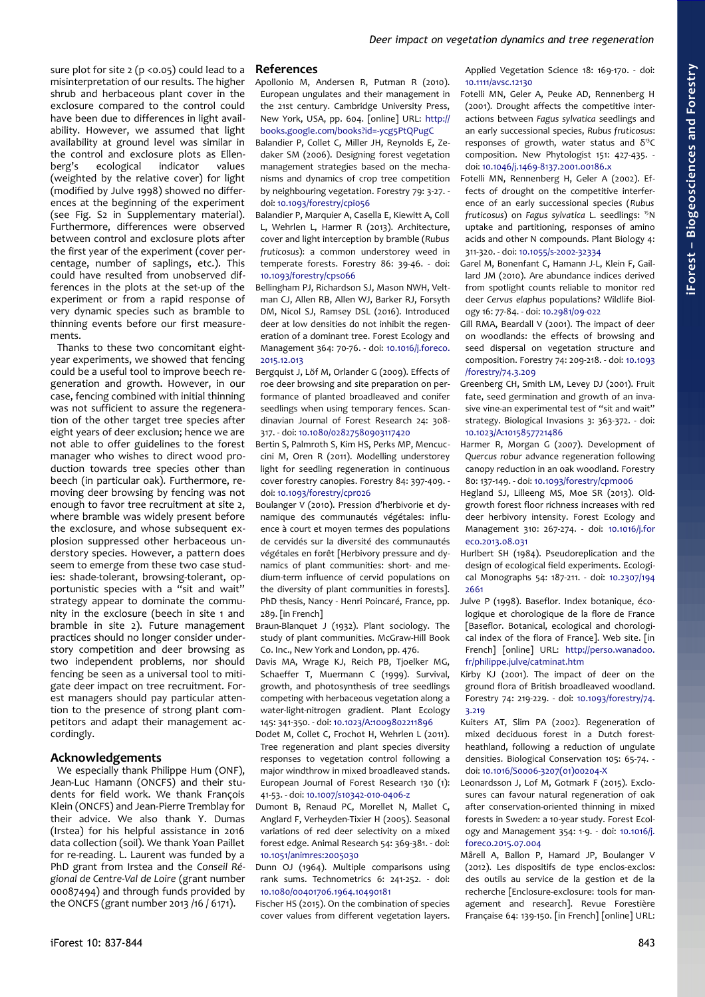sure plot for site  $2 (p < 0.05)$  could lead to a misinterpretation of our results. The higher shrub and herbaceous plant cover in the exclosure compared to the control could have been due to differences in light availability. However, we assumed that light availability at ground level was similar in the control and exclosure plots as Ellenberg's ecological indicator values (weighted by the relative cover) for light (modified by Julve 1998) showed no differences at the beginning of the experiment (see Fig. S2 in Supplementary material). Furthermore, differences were observed between control and exclosure plots after the first year of the experiment (cover percentage, number of saplings, etc.). This could have resulted from unobserved differences in the plots at the set-up of the experiment or from a rapid response of very dynamic species such as bramble to thinning events before our first measurements.

Thanks to these two concomitant eightyear experiments, we showed that fencing could be a useful tool to improve beech regeneration and growth. However, in our case, fencing combined with initial thinning was not sufficient to assure the regeneration of the other target tree species after eight years of deer exclusion; hence we are not able to offer guidelines to the forest manager who wishes to direct wood production towards tree species other than beech (in particular oak). Furthermore, removing deer browsing by fencing was not enough to favor tree recruitment at site 2, where bramble was widely present before the exclosure, and whose subsequent explosion suppressed other herbaceous understory species. However, a pattern does seem to emerge from these two case studies: shade-tolerant, browsing-tolerant, opportunistic species with a "sit and wait" strategy appear to dominate the community in the exclosure (beech in site 1 and bramble in site 2). Future management practices should no longer consider understory competition and deer browsing as two independent problems, nor should fencing be seen as a universal tool to mitigate deer impact on tree recruitment. Forest managers should pay particular attention to the presence of strong plant competitors and adapt their management accordingly.

## **Acknowledgements**

We especially thank Philippe Hum (ONF), Jean-Luc Hamann (ONCFS) and their students for field work. We thank François Klein (ONCFS) and Jean-Pierre Tremblay for their advice. We also thank Y. Dumas (Irstea) for his helpful assistance in 2016 data collection (soil). We thank Yoan Paillet for re-reading. L. Laurent was funded by a PhD grant from Irstea and the *Conseil Régional de Centre-Val de Loire* (grant number 00087494) and through funds provided by the ONCFS (grant number 2013 /16 / 6171).

Apollonio M, Andersen R, Putman R (2010). European ungulates and their management in the 21st century. Cambridge University Press, New York, USA, pp. 604. [online] URL: [http://](http://books.google.com/books?id=-ycg5PtQPugC) [books.google.com/books?id=-ycg5PtQPugC](http://books.google.com/books?id=-ycg5PtQPugC)

Balandier P, Collet C, Miller JH, Reynolds E, Zedaker SM (2006). Designing forest vegetation management strategies based on the mechanisms and dynamics of crop tree competition by neighbouring vegetation. Forestry 79: 3-27. doi: [10.1093/forestry/cpi056](http://dx.doi.org/10.1093/forestry/cpi056)

- Balandier P, Marquier A, Casella E, Kiewitt A, Coll L, Wehrlen L, Harmer R (2013). Architecture, cover and light interception by bramble (*Rubus fruticosus*): a common understorey weed in temperate forests. Forestry 86: 39-46. - doi: [10.1093/forestry/cps066](http://dx.doi.org/10.1093/forestry/cps066)
- Bellingham PJ, Richardson SJ, Mason NWH, Veltman CJ, Allen RB, Allen WJ, Barker RJ, Forsyth DM, Nicol SJ, Ramsey DSL (2016). Introduced deer at low densities do not inhibit the regeneration of a dominant tree. Forest Ecology and Management 364: 70-76. - doi: [10.1016/j.foreco.](http://dx.doi.org/10.1016/j.foreco.2015.12.013) [2015.12.013](http://dx.doi.org/10.1016/j.foreco.2015.12.013)
- Bergquist J, Löf M, Orlander G (2009). Effects of roe deer browsing and site preparation on performance of planted broadleaved and conifer seedlings when using temporary fences. Scandinavian Journal of Forest Research 24: 308- 317. - doi: [10.1080/02827580903117420](http://dx.doi.org/10.1080/02827580903117420)
- Bertin S, Palmroth S, Kim HS, Perks MP, Mencuccini M, Oren R (2011). Modelling understorey light for seedling regeneration in continuous cover forestry canopies. Forestry 84: 397-409. doi: [10.1093/forestry/cpr026](http://dx.doi.org/10.1093/forestry/cpr026)
- Boulanger V (2010). Pression d'herbivorie et dynamique des communautés végétales: influence à court et moyen termes des populations de cervidés sur la diversité des communautés végétales en forêt [Herbivory pressure and dynamics of plant communities: short- and medium-term influence of cervid populations on the diversity of plant communities in forests]. PhD thesis, Nancy - Henri Poincaré, France, pp. 289. [in French]
- Braun-Blanquet J (1932). Plant sociology. The study of plant communities. McGraw-Hill Book Co. Inc., New York and London, pp. 476.
- Davis MA, Wrage KJ, Reich PB, Tioelker MG, Schaeffer T, Muermann C (1999). Survival, growth, and photosynthesis of tree seedlings competing with herbaceous vegetation along a water-light-nitrogen gradient. Plant Ecology 145: 341-350. - doi: [10.1023/A:1009802211896](http://dx.doi.org/10.1023/A:1009802211896)
- Dodet M, Collet C, Frochot H, Wehrlen L (2011). Tree regeneration and plant species diversity responses to vegetation control following a major windthrow in mixed broadleaved stands. European Journal of Forest Research 130 (1): 41-53. - doi: [10.1007/s10342-010-0406-z](http://dx.doi.org/10.1007/s10342-010-0406-z)
- Dumont B, Renaud PC, Morellet N, Mallet C, Anglard F, Verheyden-Tixier H (2005). Seasonal variations of red deer selectivity on a mixed forest edge. Animal Research 54: 369-381. - doi: [10.1051/animres:2005030](http://dx.doi.org/10.1051/animres:2005030)
- Dunn OJ (1964). Multiple comparisons using rank sums. Technometrics 6: 241-252. - doi: [10.1080/00401706.1964.10490181](http://dx.doi.org/10.1080/00401706.1964.10490181)

Fischer HS (2015). On the combination of species cover values from different vegetation layers. Applied Vegetation Science 18: 169-170. - doi: [10.1111/avsc.12130](http://dx.doi.org/10.1111/avsc.12130)

- Fotelli MN, Geler A, Peuke AD, Rennenberg H (2001). Drought affects the competitive interactions between *Fagus sylvatica* seedlings and an early successional species, *Rubus fruticosus*: responses of growth, water status and  $\delta^{13}C$ composition. New Phytologist 151: 427-435. doi: [10.1046/j.1469-8137.2001.00186.x](http://dx.doi.org/10.1046/j.1469-8137.2001.00186.x)
- Fotelli MN, Rennenberg H, Geler A (2002). Effects of drought on the competitive interference of an early successional species (*Rubus fruticosus*) on *Fagus sylvatica* L. seedlings: <sup>15</sup>N uptake and partitioning, responses of amino acids and other N compounds. Plant Biology 4: 311-320. - doi: [10.1055/s-2002-32334](http://dx.doi.org/10.1055/s-2002-32334)
- Garel M, Bonenfant C, Hamann J-L, Klein F, Gaillard JM (2010). Are abundance indices derived from spotlight counts reliable to monitor red deer *Cervus elaphus* populations? Wildlife Biology 16: 77-84. - doi: [10.2981/09-022](http://dx.doi.org/10.2981/09-022)
- Gill RMA, Beardall V (2001). The impact of deer on woodlands: the effects of browsing and seed dispersal on vegetation structure and composition. Forestry 74: 209-218. - doi: [10.1093](http://dx.doi.org/10.1093/forestry/74.3.209) [/forestry/74.3.209](http://dx.doi.org/10.1093/forestry/74.3.209)
- Greenberg CH, Smith LM, Levey DJ (2001). Fruit fate, seed germination and growth of an invasive vine-an experimental test of "sit and wait" strategy. Biological Invasions 3: 363-372. - doi: [10.1023/A:1015857721486](http://dx.doi.org/10.1023/A:1015857721486)
- Harmer R, Morgan G (2007). Development of *Quercus robur* advance regeneration following canopy reduction in an oak woodland. Forestry 80: 137-149. - doi: [10.1093/forestry/cpm006](http://dx.doi.org/10.1093/forestry/cpm006)
- Hegland SJ, Lilleeng MS, Moe SR (2013). Oldgrowth forest floor richness increases with red deer herbivory intensity. Forest Ecology and Management 310: 267-274. - doi: [10.1016/j.for](http://dx.doi.org/10.1016/j.foreco.2013.08.031) [eco.2013.08.031](http://dx.doi.org/10.1016/j.foreco.2013.08.031)
- Hurlbert SH (1984). Pseudoreplication and the design of ecological field experiments. Ecological Monographs 54: 187-211. - doi: [10.2307/194](http://dx.doi.org/10.2307/1942661) [2661](http://dx.doi.org/10.2307/1942661)
- Julve P (1998). Baseflor. Index botanique, écologique et chorologique de la flore de France [Baseflor. Botanical, ecological and chorological index of the flora of France]. Web site. [in French] [online] URL: [http://perso.wanadoo.](http://perso.wanadoo.fr/philippe.julve/catminat.htm) [fr/philippe.julve/catminat.htm](http://perso.wanadoo.fr/philippe.julve/catminat.htm)
- Kirby KJ (2001). The impact of deer on the ground flora of British broadleaved woodland. Forestry 74: 219-229. - doi: [10.1093/forestry/74.](http://dx.doi.org/10.1093/forestry/74.3.219) [3.219](http://dx.doi.org/10.1093/forestry/74.3.219)
- Kuiters AT, Slim PA (2002). Regeneration of mixed deciduous forest in a Dutch forestheathland, following a reduction of ungulate densities. Biological Conservation 105: 65-74. doi: [10.1016/S0006-3207\(01\)00204-X](http://dx.doi.org/10.1016/S0006-3207(01)00204-X)
- Leonardsson J, Lof M, Gotmark F (2015). Exclosures can favour natural regeneration of oak after conservation-oriented thinning in mixed forests in Sweden: a 10-year study. Forest Ecology and Management 354: 1-9. - doi: [10.1016/j.](http://dx.doi.org/10.1016/j.foreco.2015.07.004) [foreco.2015.07.004](http://dx.doi.org/10.1016/j.foreco.2015.07.004)
- Mårell A, Ballon P, Hamard JP, Boulanger V (2012). Les dispositifs de type enclos-exclos: des outils au service de la gestion et de la recherche [Enclosure-exclosure: tools for management and research]. Revue Forestière Française 64: 139-150. [in French] [online] URL: